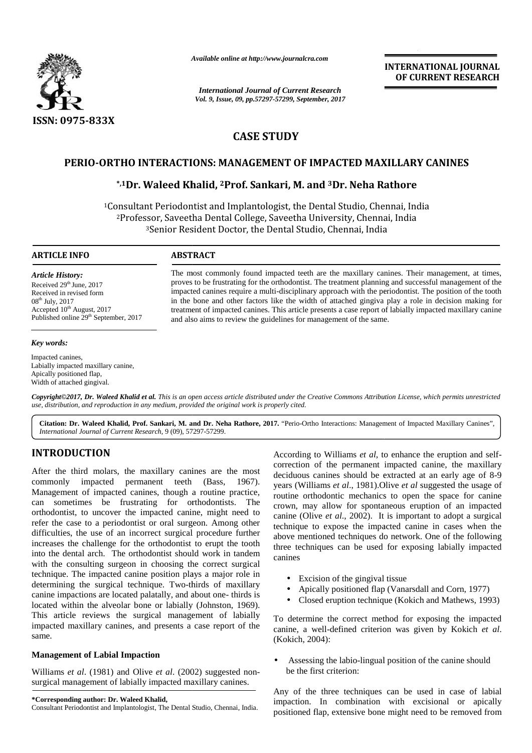

*Available online at http://www.journalcra.com*

*International Journal of Current Research International Current ResearchVol. 9, Issue, 09, pp.57297-57299, September, 2017*<br> *Vol. 9, Issue, 09, pp.57297-57299, September, 2017* 

**INTERNATIONAL JOURNAL OF CURRENT RESEARCH**

# **CASE STUDY CASE STUDY**

# **PERIO-ORTHO INTERACTIONS: MANAGEMENT OF IMPACTED MAXILLARY CANINES PERIO-ORTHO INTERACTIONS: MANAGEMENT OF MAXILLARY CANINES**

# **\*,1Dr. Waleed Khalid, <sup>2</sup>Prof. Sankari, M. and <sup>3</sup>Dr. Neha Rathore \*,1and**

<sup>1</sup>Consultant Periodontist and Implantologist, the Dental Studio, Chennai, India Periodontist Dental Studio, India<sup>2</sup>Professor, Saveetha Dental College, Saveetha University, Chennai, India <sup>2</sup>Professor, Saveetha Dental College, Saveetha University, Chennai, India<br><sup>3</sup>Senior Resident Doctor, the Dental Studio, Chennai, India

## **ARTICLE INFO**

*Article History: Article History:*Received  $29<sup>th</sup>$  June,  $2017$ Received in revised form<br>08<sup>th</sup> July, 2017 08<sup>th</sup> July, 2017 Accepted  $10^{th}$  August, 2017 Published online 29<sup>th</sup> September, 2017

#### *Key words:*

Impacted canines, Labially impacted maxillary canine, Apically positioned flap, Width of attached gingival.

The most commonly found impacted teeth are the maxillary canines. Their management, at times, proves to be frustrating for the orthodontist. The treatment planning and successful management of the impacted canines require a multi-disciplinary approach with the periodontist. The position of the tooth in the bone and other factors like the width of attached gingiva play a role in decision making for treatment of impacted canines. This article presents a case report of labially impacted maxillary canine and also aims to review the guidelines for management of the same. The most commonly found impacted teeth are the maxillary canines. Their management, at times, proves to be frustrating for the orthodontist. The treatment planning and successful management of the impacted canines require by, 2017 in the bone and other factors like the width of<br>ted  $10^{\text{th}}$  August, 2017 in the bone and other factors like the width of<br>treatment of impacted canines. This article present<br>and also aims to review the guidelin

*Copyright©2017, Dr. Waleed Khalid et al. This is an open access article distributed under the Creative Commons Attribution License, which permits unrestricted use, distribution, and reproduction in any medium, provided the original work is properly cited. Copyright©2017,Dr. Khalidet an distributed use, and reproduction any provided original* 

Citation: Dr. Waleed Khalid, Prof. Sankari, M. and Dr. Neha Rathore, 2017. "Perio-Ortho Interactions: Management of Impacted Maxillary Canines", | *International Journal of Current Research*, 9 (09), 57297-57299. *Journal* 

# **INTRODUCTION INTRODUCTION**

After the third molars, the maxillary canines are the most commonly impacted permanent teeth (Bass, 1967). Management of impacted canines, though a routine practice, can sometimes be frustrating for orthodontists. The orthodontist, to uncover the impacted canine, might need to  $\frac{1}{\cosh n}$ refer the case to a periodontist or oral surgeon. Among other difficulties, the use of an incorrect surgical procedure further  $\frac{1}{2}$ increases the challenge for the orthodontist to erupt the tooth into the dental arch. The orthodontist should work in tandem with the consulting surgeon in choosing the correct surgical technique. The impacted canine position plays a major role in determining the surgical technique. Two-thirds of maxillary determining the surgical technique. Two-thirds of maxillary canine impactions are located palatally, and about one- thirds is located within the alveolar bone or labially (Johnston, 1969). This article reviews the surgical management of labially impacted maxillary canines, and presents a case report of the cani same. After the third molars, the maxillary canines are the most<br>commonly impacted permanent teeth (Bass, 1967). year<br>Management of impacted canines, though a routine practice,<br>can sometimes be frustrating for orthodontists. The refer the case to a periodontist or oral surgeon. Among other<br>difficulties, the use of an incorrect surgical procedure further<br>increases the challenge for the orthodontist to erupt the tooth into the dental arch. The orthodontist should work in tandem can<br>in with the consulting surgeon in choosing the correct surgical<br>technique. The impacted canine position plays a major role in located within the alveolar bone or labially (Johnston, 19<br>This article reviews the surgical management of labia<br>impacted maxillary canines, and presents a case report of<br>same. **ATRODUCTION**<br>
According to Consultanty consults are consulted to the the endependent consults are consulted by extracted at meanly aper<br>
Alter the third monitored canneer of impacted canneer (Bass, 1967). Years (Williams the magnitum motion of an internal consulting the most the most the most deciduous canines should be extracted at an early age of 8-9<br>
ent of impacted canines, though a routine practice,<br>
entines be frustrating for orthod

## **Management of Labial Impaction Management**

Williams *et al.* (1981) and Olive *et al.* (2002) suggested nonsurgical management of labially impacted maxillary canines.

**\*Corresponding author: Dr. Waleed Khalid, \*Corresponding** 

Consultant Periodontist and Implantologist, The Dental Studio, Chennai, India.

According to Williams *et al*, to enhance the eruption and self correction of the permanent impacted canine, the maxillary deciduous canines should be extracted at an early age of 8-9 years (Williams *et al*., 1981).Olive *et al* suggested the usage of routine orthodontic mechanics to open the space for canine crown, may allow for spontaneous eruption of an impacted canine (Olive *et al*., 2002). It is important to adopt a surgical technique to expose the impacted canine in cases when the above mentioned techniques do network. One of the following three techniques can be used for exposing labially impacted canines

- Excision of the gingival tissue
- Apically positioned flap (Vanarsdall and Corn, 1977)
- Closed eruption technique (Kokich and Mathews, 1993)

To determine the correct method for exposing the impacted canine, a well-defined criterion was given by Kokich *et al*. (Kokich, 2004): To determine the correct method for exposing the impacted canine, a well-defined criterion was given by Kokich *et al.*<br>(Kokich, 2004):<br>• Assessing the labio-lingual position of the canine should

be the first criterion:

Any of the three techniques can be used in case of labial impaction. In combination with excisional or apically positioned flap, extensive bone might need to be removed from e three techniques can be used in case of labial<br>In combination with excisional or apically<br>flap, extensive bone might need to be removed from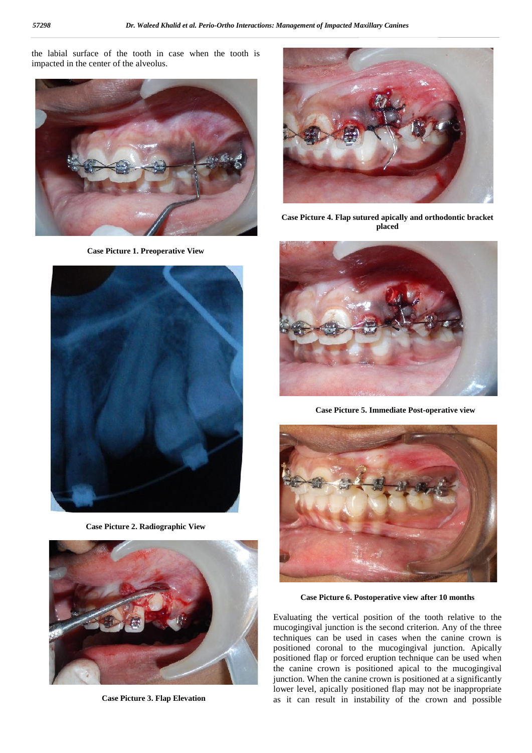the labial surface of the tooth in case when the tooth is impacted in the center of the alveolus.



**Case Picture 1. Preoperative View**



**Case Picture 2. Radiographic View**



**Case Picture 3. Flap Elevation**



**Case Picture 4. Flap sutured apically and orthodontic bracket placed**



**Case Picture 5. Immediate Post-operative view**



**Case Picture 6. Postoperative view after 10 months**

Evaluating the vertical position of the tooth relative to the mucogingival junction is the second criterion. Any of the three techniques can be used in cases when the canine crown is positioned coronal to the mucogingival junction. Apically positioned flap or forced eruption technique can be used when the canine crown is positioned apical to the mucogingival junction. When the canine crown is positioned at a significantly lower level, apically positioned flap may not be inappropriate as it can result in instability of the crown and possible